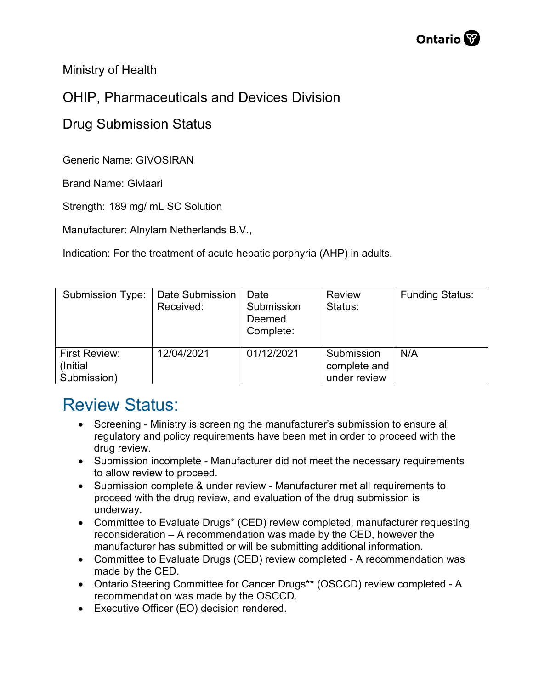Ministry of Health

## OHIP, Pharmaceuticals and Devices Division

## Drug Submission Status

Generic Name: GIVOSIRAN

Brand Name: Givlaari

Strength: 189 mg/ mL SC Solution

Manufacturer: Alnylam Netherlands B.V.,

Indication: For the treatment of acute hepatic porphyria (AHP) in adults.

| Submission Type:                          | Date Submission<br>Received: | Date<br>Submission<br>Deemed<br>Complete: | <b>Review</b><br>Status:                   | <b>Funding Status:</b> |
|-------------------------------------------|------------------------------|-------------------------------------------|--------------------------------------------|------------------------|
| First Review:<br>(Initial)<br>Submission) | 12/04/2021                   | 01/12/2021                                | Submission<br>complete and<br>under review | N/A                    |

## Review Status:

- Screening Ministry is screening the manufacturer's submission to ensure all regulatory and policy requirements have been met in order to proceed with the drug review.
- Submission incomplete Manufacturer did not meet the necessary requirements to allow review to proceed.
- Submission complete & under review Manufacturer met all requirements to proceed with the drug review, and evaluation of the drug submission is underway.
- Committee to Evaluate Drugs\* (CED) review completed, manufacturer requesting reconsideration – A recommendation was made by the CED, however the manufacturer has submitted or will be submitting additional information.
- Committee to Evaluate Drugs (CED) review completed A recommendation was made by the CED.
- Ontario Steering Committee for Cancer Drugs\*\* (OSCCD) review completed A recommendation was made by the OSCCD.
- Executive Officer (EO) decision rendered.